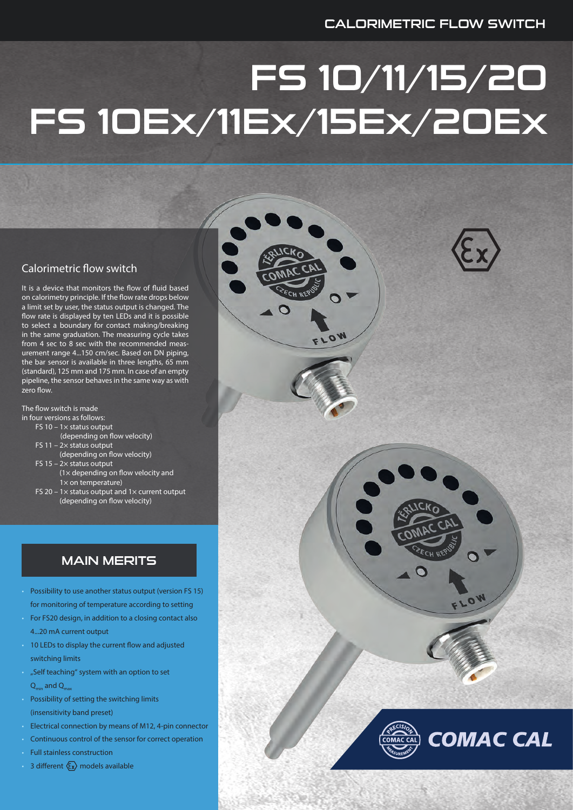# FS 10/11/15/20 FS 10Ex/11Ex/15Ex/20Ex

#### Calorimetric flow switch

It is a device that monitors the flow of fluid based on calorimetry principle. If the flow rate drops below a limit set by user, the status output is changed. The flow rate is displayed by ten LEDs and it is possible to select a boundary for contact making/breaking in the same graduation. The measuring cycle takes from 4 sec to 8 sec with the recommended measurement range 4...150 cm/sec. Based on DN piping, the bar sensor is available in three lengths, 65 mm (standard), 125 mm and 175 mm. In case of an empty pipeline, the sensor behaves in the same way as with zero flow.

The flow switch is made in four versions as follows:

- FS 10  $1\times$  status output
- (depending on flow velocity)
- FS 11  $2\times$  status output
- (depending on flow velocity)
- FS 15 2× status output (1× depending on flow velocity and  $1\times$  on temperature)
- FS 20 1 $\times$  status output and 1 $\times$  current output (depending on flow velocity)

## MAIN MERITS

- Possibility to use another status output (version FS 15) for monitoring of temperature according to setting
- For FS20 design, in addition to a closing contact also 4...20 mA current output
- 10 LEDs to display the current flow and adjusted switching limits
- "Self teaching" system with an option to set  $Q_{\text{min}}$  and  $Q_{\text{max}}$
- Possibility of setting the switching limits (insensitivity band preset)
- Electrical connection by means of M12, 4-pin connector
- Continuous control of the sensor for correct operation
- Full stainless construction
- $\overline{\phantom{a}}$  3 different  $\langle \overline{\epsilon} x \rangle$  models available



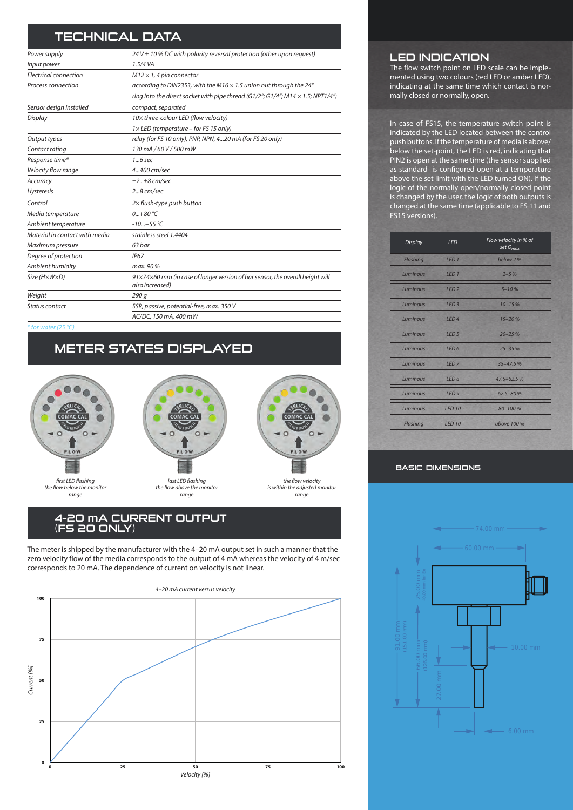## TECHNICAL DATA

| Power supply                   | 24 V $\pm$ 10 % DC with polarity reversal protection (other upon request)                        |
|--------------------------------|--------------------------------------------------------------------------------------------------|
| Input power                    | 1.5/4 VA                                                                                         |
| Electrical connection          | $M12 \times 1$ , 4 pin connector                                                                 |
| Process connection             | according to DIN2353, with the M16 $\times$ 1.5 union nut through the 24°                        |
|                                | ring into the direct socket with pipe thread (G1/2"; G1/4"; M14 $\times$ 1.5; NPT1/4")           |
| Sensor design installed        | compact, separated                                                                               |
| Display                        | 10x three-colour LED (flow velocity)                                                             |
|                                | $1 \times$ LED (temperature – for FS 15 only)                                                    |
| Output types                   | relay (for FS 10 only), PNP, NPN, 420 mA (for FS 20 only)                                        |
| Contact rating                 | 130 mA/60 V/500 mW                                                                               |
| Response time*                 | 16 sec                                                                                           |
| Velocity flow range            | 4.400 cm/sec                                                                                     |
| Accuracy                       | $±2.1±8$ cm/sec                                                                                  |
| Hysteresis                     | $28$ cm/sec                                                                                      |
| Control                        | $2\times$ flush-type push button                                                                 |
| Media temperature              | $0+80 °C$                                                                                        |
| Ambient temperature            | $-10+55$ °C                                                                                      |
| Material in contact with media | stainless steel 1.4404                                                                           |
| Maximum pressure               | 63 bar                                                                                           |
| Degree of protection           | IP67                                                                                             |
| Ambient humidity               | max. 90 %                                                                                        |
| Size (HxWxD)                   | 91x74x60 mm (in case of longer version of bar sensor, the overall height will<br>also increased) |
| Weight                         | 290q                                                                                             |
| Status contact                 | SSR, passive, potential-free, max. 350 V                                                         |
|                                | AC/DC, 150 mA, 400 mW                                                                            |

*\* for water (25 °C)*

## METER STATES DISPLAYED





*the flow above the monitor range*



*the flow velocity is within the adjusted monitor range*

#### 4–20 mA CURRENT OUTPUT (FS 20 ONLY)

The meter is shipped by the manufacturer with the 4–20 mA output set in such a manner that the zero velocity flow of the media corresponds to the output of 4 mA whereas the velocity of 4 m/sec corresponds to 20 mA. The dependence of current on velocity is not linear.



#### LED INDICATION

The flow switch point on LED scale can be implemented using two colours (red LED or amber LED), indicating at the same time which contact is normally closed or normally, open.

In case of FS15, the temperature switch point is indicated by the LED located between the control push buttons. If the temperature of media is above/ below the set-point, the LED is red, indicating that PIN2 is open at the same time (the sensor supplied as standard is configured open at a temperature above the set limit with the LED turned ON). If the logic of the normally open/normally closed point is changed by the user, the logic of both outputs is changed at the same time (applicable to FS 11 and FS15 versions).

| <b>Display</b>  | <b>LED</b>       | Flow velocity in % of<br>set Q <sub>max</sub> |
|-----------------|------------------|-----------------------------------------------|
| <b>Flashing</b> | LED <sub>1</sub> | below 2 %                                     |
| Luminous        | LED <sub>1</sub> | $2 - 5%$                                      |
| Luminous        | LED <sub>2</sub> | $5 - 10%$                                     |
| Luminous        | LED <sub>3</sub> | $10 - 15%$                                    |
| Luminous        | LED4             | $15 - 20%$                                    |
| Luminous        | LED <sub>5</sub> | $20 - 25%$                                    |
| Luminous LED 6  |                  | $25 - 35%$                                    |
| Luminous        | LED <sub>7</sub> | $35 - 47.5%$                                  |
| Luminous        | LED <sub>8</sub> | $47.5 - 62.5%$                                |
| Luminous        | LED <sub>9</sub> | $62.5 - 80%$                                  |
| Luminous        | <b>LED 10</b>    | $80 - 100%$                                   |
| Flashing        | <b>LED 10</b>    | above 100 %                                   |
|                 |                  |                                               |

#### basic dimensions

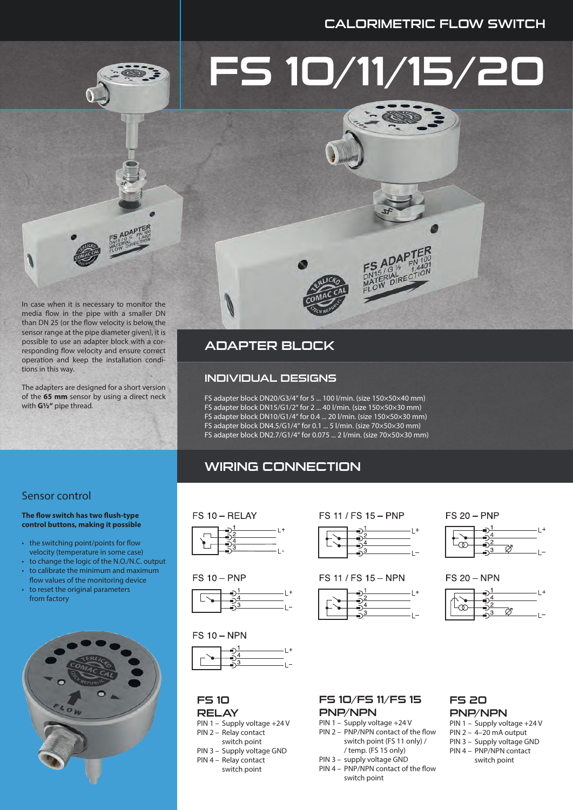## CALORIMETRIC FLOW SWITCH

# FS 10/11/15/20



In case when it is necessary to monitor the media flow in the pipe with a smaller DN than DN 25 (or the flow velocity is below the sensor range at the pipe diameter given), it is possible to use an adapter block with a corresponding flow velocity and ensure correct operation and keep the installation conditions in this way.

The adapters are designed for a short version of the **65 mm** sensor by using a direct neck with **G½"** pipe thread.

## ADAPTER BLOCK

#### INDIVIDUAL DESIGNS

FS adapter block DN20/G3/4" for 5 ... 100 l/min. (size 150×50×40 mm) FS adapter block DN15/G1/2" for 2 ... 40 l/min. (size 150×50×30 mm) FS adapter block DN10/G1/4" for 0.4 ... 20 l/min. (size 150×50×30 mm) FS adapter block DN4.5/G1/4" for 0.1 ... 5 l/min. (size 70×50×30 mm) FS adapter block DN2.7/G1/4" for 0.075 ... 2 l/min. (size 70×50×30 mm)

## WIRING CONNECTION

#### Sensor control

#### **The flow switch has two flush-type control buttons, making it possible**

- the switching point/points for flow velocity (temperature in some case)
- to change the logic of the N.O./N.C. output
- to calibrate the minimum and maximum
- flow values of the monitoring device to reset the original parameters from factory









#### $FS 10 - NPN$



#### FS 10 **RELAY**

- PIN 1 Supply voltage +24 V PIN 2 – Relay contact
- switch point PIN 3 – Supply voltage GND
- PIN 4 Relay contact
- switch point

## FS 11 / FS 15 - PNP



#### FS 11 / FS 15 - NPN



#### **FS 20 - PNP**



#### **FS 20 - NPN**



#### FS 10/FS 11/FS 15 PNP/NPN

- PIN 1 Supply voltage +24 V PIN 2 – PNP/NPN contact of the flow switch point (FS 11 only) /
	- / temp. (FS 15 only)
- PIN 3 supply voltage GND
- PIN 4 PNP/NPN contact of the flow switch point

## FS 20 PNP/NPN

- PIN 1 Supply voltage +24 V PIN  $2 - 4 - 20$  mA output
- PIN 3 Supply voltage GND
- PIN 4 PNP/NPN contact
	- switch point